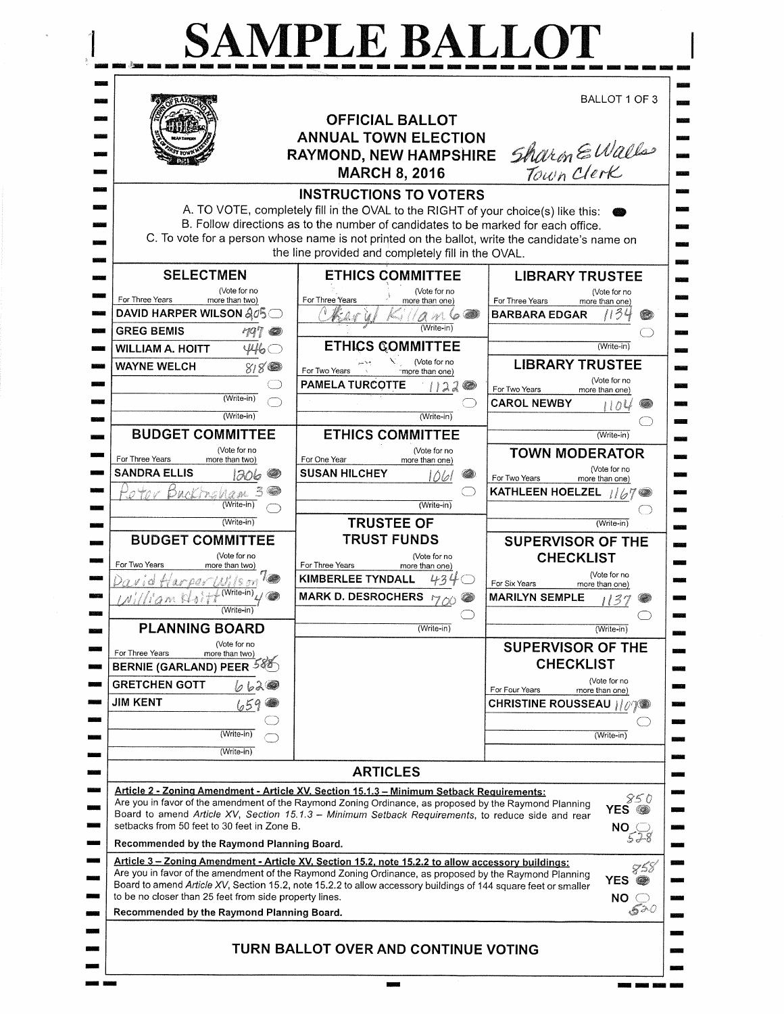|                                                              | <b>OFFICIAL BALLOT</b><br><b>ANNUAL TOWN ELECTION</b>                                                                                                                                                                                                                                                                                                           | BALLOT 1 OF 3                                                  |
|--------------------------------------------------------------|-----------------------------------------------------------------------------------------------------------------------------------------------------------------------------------------------------------------------------------------------------------------------------------------------------------------------------------------------------------------|----------------------------------------------------------------|
|                                                              | <b>RAYMOND, NEW HAMPSHIRE</b><br><b>MARCH 8, 2016</b>                                                                                                                                                                                                                                                                                                           | Sharin EWalls                                                  |
|                                                              | <b>INSTRUCTIONS TO VOTERS</b><br>A. TO VOTE, completely fill in the OVAL to the RIGHT of your choice(s) like this:<br>B. Follow directions as to the number of candidates to be marked for each office.<br>C. To vote for a person whose name is not printed on the ballot, write the candidate's name on<br>the line provided and completely fill in the OVAL. |                                                                |
| <b>SELECTMEN</b>                                             | <b>ETHICS COMMITTEE</b>                                                                                                                                                                                                                                                                                                                                         | <b>LIBRARY TRUSTEE</b>                                         |
| (Vote for no                                                 | (Vote for no                                                                                                                                                                                                                                                                                                                                                    | (Vote for no                                                   |
| For Three Years<br>more than two)<br>DAVID HARPER WILSON 205 | For Three Years<br>more than one)                                                                                                                                                                                                                                                                                                                               | For Three Years<br>more than one)<br><b>BARBARA EDGAR</b><br>Œ |
| <b>GREG BEMIS</b><br>ra i                                    | A N 6<br>$(Write-in)$                                                                                                                                                                                                                                                                                                                                           |                                                                |
| <b>WILLIAM A. HOITT</b><br>446                               | <b>ETHICS COMMITTEE</b>                                                                                                                                                                                                                                                                                                                                         | (Write-in)                                                     |
| <b>WAYNE WELCH</b><br>818                                    | (Vote for no                                                                                                                                                                                                                                                                                                                                                    | <b>LIBRARY TRUSTEE</b>                                         |
|                                                              | For Two Years<br>more than one)<br><b>PAMELA TURCOTTE</b>                                                                                                                                                                                                                                                                                                       | (Vote for no                                                   |
| (Write-in)                                                   | 122                                                                                                                                                                                                                                                                                                                                                             | For Two Years<br>more than one)<br><b>CAROL NEWBY</b>          |
| (Write-in)                                                   | (Write-in)                                                                                                                                                                                                                                                                                                                                                      | けいし                                                            |
| <b>BUDGET COMMITTEE</b>                                      | <b>ETHICS COMMITTEE</b>                                                                                                                                                                                                                                                                                                                                         | (Write-in)                                                     |
| (Vote for no<br>For Three Years                              | (Vote for no<br>For One Year                                                                                                                                                                                                                                                                                                                                    | <b>TOWN MODERATOR</b>                                          |
| more than two)<br><b>SANDRA ELLIS</b><br>1206                | more than one)<br><b>SUSAN HILCHEY</b><br>1061                                                                                                                                                                                                                                                                                                                  | (Vote for no                                                   |
| Buckmanam                                                    |                                                                                                                                                                                                                                                                                                                                                                 | For Two Years<br>more than one)<br>KATHLEEN HOELZEL 1167       |
| (Write-in)                                                   | $(Write-in)$                                                                                                                                                                                                                                                                                                                                                    |                                                                |
| $(Write-in)$                                                 | <b>TRUSTEE OF</b>                                                                                                                                                                                                                                                                                                                                               | (Write-in)                                                     |
| <b>BUDGET COMMITTEE</b>                                      | <b>TRUST FUNDS</b>                                                                                                                                                                                                                                                                                                                                              | <b>SUPERVISOR OF THE</b>                                       |
| (Vote for no<br>For Two Years                                | (Vote for no<br>For Three Years                                                                                                                                                                                                                                                                                                                                 | <b>CHECKLIST</b>                                               |
| more than two)<br>ان رسم 2                                   | more than one)<br><b>KIMBERLEE TYNDALL</b>                                                                                                                                                                                                                                                                                                                      | (Vote for no<br>For Six Years                                  |
| Milliam Waitt                                                | MARK D. DESROCHERS MY OU                                                                                                                                                                                                                                                                                                                                        | more than one)<br><b>MARILYN SEMPLE</b><br>137                 |
| (Write-in)                                                   |                                                                                                                                                                                                                                                                                                                                                                 |                                                                |
| <b>PLANNING BOARD</b>                                        | (Write-in)                                                                                                                                                                                                                                                                                                                                                      | (Write-in)                                                     |
| (Vote for no<br>For Three Years<br>more than two)            |                                                                                                                                                                                                                                                                                                                                                                 | <b>SUPERVISOR OF THE</b>                                       |
| <b>BERNIE (GARLAND) PEER</b>                                 |                                                                                                                                                                                                                                                                                                                                                                 | <b>CHECKLIST</b>                                               |
| <b>GRETCHEN GOTT</b><br>ししふぬ                                 |                                                                                                                                                                                                                                                                                                                                                                 | (Vote for no<br>For Four Years                                 |
| <b>JIM KENT</b>                                              |                                                                                                                                                                                                                                                                                                                                                                 | more than one)<br><b>CHRISTINE ROUSSEAU // //</b>              |
|                                                              |                                                                                                                                                                                                                                                                                                                                                                 |                                                                |
| (Write-in)                                                   |                                                                                                                                                                                                                                                                                                                                                                 | (Write-in)                                                     |
| (Write-in)                                                   |                                                                                                                                                                                                                                                                                                                                                                 |                                                                |
|                                                              | <b>ARTICLES</b>                                                                                                                                                                                                                                                                                                                                                 |                                                                |
|                                                              | Article 2 - Zoning Amendment - Article XV, Section 15.1.3 - Minimum Setback Requirements:                                                                                                                                                                                                                                                                       |                                                                |
|                                                              | Are you in favor of the amendment of the Raymond Zoning Ordinance, as proposed by the Raymond Planning<br>Board to amend Article XV, Section 15.1.3 - Minimum Setback Requirements, to reduce side and rear                                                                                                                                                     | 850<br>YES <sup>@</sup>                                        |
| setbacks from 50 feet to 30 feet in Zone B.                  |                                                                                                                                                                                                                                                                                                                                                                 |                                                                |
| Recommended by the Raymond Planning Board.                   |                                                                                                                                                                                                                                                                                                                                                                 | $NO_{528}$                                                     |
|                                                              | Article 3 - Zoning Amendment - Article XV. Section 15.2, note 15.2.2 to allow accessory buildings:                                                                                                                                                                                                                                                              |                                                                |
|                                                              | Are you in favor of the amendment of the Raymond Zoning Ordinance, as proposed by the Raymond Planning                                                                                                                                                                                                                                                          | 858<br><b>YES</b><br>۵                                         |
| to be no closer than 25 feet from side property lines.       | Board to amend Article XV, Section 15.2, note 15.2.2 to allow accessory buildings of 144 square feet or smaller                                                                                                                                                                                                                                                 | $NO \subset$                                                   |
|                                                              | Recommended by the Raymond Planning Board.                                                                                                                                                                                                                                                                                                                      | 520                                                            |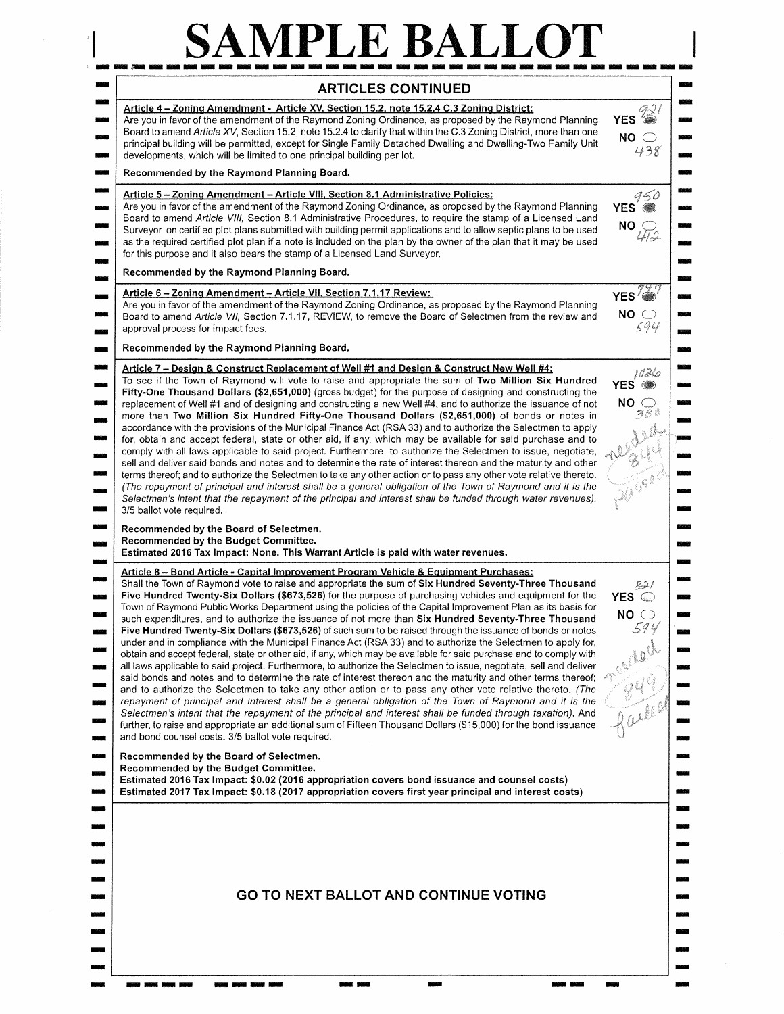## SAMPLE BALLOT

 $\label{eq:2.1} \begin{array}{ll} \mathcal{R} & \mathcal{R} \\ \mathcal{R} & \mathcal{R} \\ \mathcal{R} & \mathcal{R} \\ \mathcal{R} & \mathcal{R} \end{array}$ 

| Article 4 - Zoning Amendment - Article XV, Section 15.2, note 15.2.4 C.3 Zoning District:                                                                                                                                                                                                                                                                                                                                                                                                                                                                                                                                                                                                                                                                                                                                                                                                                                                                                                                                                                                                                                                                                                                                                                                                                                                                                                                                                                                                                                                                                                                                                 |                                                                        |
|-------------------------------------------------------------------------------------------------------------------------------------------------------------------------------------------------------------------------------------------------------------------------------------------------------------------------------------------------------------------------------------------------------------------------------------------------------------------------------------------------------------------------------------------------------------------------------------------------------------------------------------------------------------------------------------------------------------------------------------------------------------------------------------------------------------------------------------------------------------------------------------------------------------------------------------------------------------------------------------------------------------------------------------------------------------------------------------------------------------------------------------------------------------------------------------------------------------------------------------------------------------------------------------------------------------------------------------------------------------------------------------------------------------------------------------------------------------------------------------------------------------------------------------------------------------------------------------------------------------------------------------------|------------------------------------------------------------------------|
| Are you in favor of the amendment of the Raymond Zoning Ordinance, as proposed by the Raymond Planning<br>Board to amend Article XV, Section 15.2, note 15.2.4 to clarify that within the C.3 Zoning District, more than one<br>principal building will be permitted, except for Single Family Detached Dwelling and Dwelling-Two Family Unit<br>developments, which will be limited to one principal building per lot.                                                                                                                                                                                                                                                                                                                                                                                                                                                                                                                                                                                                                                                                                                                                                                                                                                                                                                                                                                                                                                                                                                                                                                                                                   | $YES \overset{\text{def}}{=}$<br>$NO \bigcirc$<br>438                  |
| Recommended by the Raymond Planning Board.                                                                                                                                                                                                                                                                                                                                                                                                                                                                                                                                                                                                                                                                                                                                                                                                                                                                                                                                                                                                                                                                                                                                                                                                                                                                                                                                                                                                                                                                                                                                                                                                |                                                                        |
| Article 5 - Zoning Amendment - Article VIII, Section 8.1 Administrative Policies:<br>Are you in favor of the amendment of the Raymond Zoning Ordinance, as proposed by the Raymond Planning<br>Board to amend Article VIII, Section 8.1 Administrative Procedures, to require the stamp of a Licensed Land<br>Surveyor on certified plot plans submitted with building permit applications and to allow septic plans to be used<br>as the required certified plot plan if a note is included on the plan by the owner of the plan that it may be used<br>for this purpose and it also bears the stamp of a Licensed Land Surveyor.                                                                                                                                                                                                                                                                                                                                                                                                                                                                                                                                                                                                                                                                                                                                                                                                                                                                                                                                                                                                        | $YES \overset{\mathcal{G}\leq \theta}{\bullet}$<br>$NO_{\cancel{1/2}}$ |
| Recommended by the Raymond Planning Board.                                                                                                                                                                                                                                                                                                                                                                                                                                                                                                                                                                                                                                                                                                                                                                                                                                                                                                                                                                                                                                                                                                                                                                                                                                                                                                                                                                                                                                                                                                                                                                                                |                                                                        |
| <u> Article 6 – Zoning Amendment – Article VII, Section 7.1.17 Review:</u><br>Are you in favor of the amendment of the Raymond Zoning Ordinance, as proposed by the Raymond Planning<br>Board to amend Article VII, Section 7.1.17, REVIEW, to remove the Board of Selectmen from the review and<br>approval process for impact fees.                                                                                                                                                                                                                                                                                                                                                                                                                                                                                                                                                                                                                                                                                                                                                                                                                                                                                                                                                                                                                                                                                                                                                                                                                                                                                                     | $YES\sqrt[7]{x}$<br>$NO \bigcirc$<br>594                               |
| Recommended by the Raymond Planning Board.                                                                                                                                                                                                                                                                                                                                                                                                                                                                                                                                                                                                                                                                                                                                                                                                                                                                                                                                                                                                                                                                                                                                                                                                                                                                                                                                                                                                                                                                                                                                                                                                |                                                                        |
| Article 7 - Design & Construct Replacement of Well #1 and Design & Construct New Well #4:<br>To see if the Town of Raymond will vote to raise and appropriate the sum of Two Million Six Hundred<br>Fifty-One Thousand Dollars (\$2,651,000) (gross budget) for the purpose of designing and constructing the<br>replacement of Well #1 and of designing and constructing a new Well #4, and to authorize the issuance of not<br>more than Two Million Six Hundred Fifty-One Thousand Dollars (\$2,651,000) of bonds or notes in<br>accordance with the provisions of the Municipal Finance Act (RSA 33) and to authorize the Selectmen to apply<br>for, obtain and accept federal, state or other aid, if any, which may be available for said purchase and to<br>comply with all laws applicable to said project. Furthermore, to authorize the Selectmen to issue, negotiate,<br>sell and deliver said bonds and notes and to determine the rate of interest thereon and the maturity and other<br>terms thereof; and to authorize the Selectmen to take any other action or to pass any other vote relative thereto.<br>(The repayment of principal and interest shall be a general obligation of the Town of Raymond and it is the<br>Selectmen's intent that the repayment of the principal and interest shall be funded through water revenues).<br>3/5 ballot vote required.                                                                                                                                                                                                                                                      | 1026<br>YES <sup>3</sup><br>$NO \bigcirc$<br>388<br>regula             |
| Recommended by the Board of Selectmen.                                                                                                                                                                                                                                                                                                                                                                                                                                                                                                                                                                                                                                                                                                                                                                                                                                                                                                                                                                                                                                                                                                                                                                                                                                                                                                                                                                                                                                                                                                                                                                                                    |                                                                        |
| Recommended by the Budget Committee.<br>Estimated 2016 Tax Impact: None. This Warrant Article is paid with water revenues.                                                                                                                                                                                                                                                                                                                                                                                                                                                                                                                                                                                                                                                                                                                                                                                                                                                                                                                                                                                                                                                                                                                                                                                                                                                                                                                                                                                                                                                                                                                |                                                                        |
| Article 8 - Bond Article - Capital Improvement Program Vehicle & Equipment Purchases:<br>Shall the Town of Raymond vote to raise and appropriate the sum of Six Hundred Seventy-Three Thousand<br>Five Hundred Twenty-Six Dollars (\$673,526) for the purpose of purchasing vehicles and equipment for the<br>Town of Raymond Public Works Department using the policies of the Capital Improvement Plan as its basis for<br>such expenditures, and to authorize the issuance of not more than Six Hundred Seventy-Three Thousand<br>Five Hundred Twenty-Six Dollars (\$673,526) of such sum to be raised through the issuance of bonds or notes<br>under and in compliance with the Municipal Finance Act (RSA 33) and to authorize the Selectmen to apply for,<br>obtain and accept federal, state or other aid, if any, which may be available for said purchase and to comply with<br>all laws applicable to said project. Furthermore, to authorize the Selectmen to issue, negotiate, sell and deliver<br>said bonds and notes and to determine the rate of interest thereon and the maturity and other terms thereof;<br>and to authorize the Selectmen to take any other action or to pass any other vote relative thereto. (The<br>repayment of principal and interest shall be a general obligation of the Town of Raymond and it is the<br>Selectmen's intent that the repayment of the principal and interest shall be funded through taxation). And<br>further, to raise and appropriate an additional sum of Fifteen Thousand Dollars (\$15,000) for the bond issuance<br>and bond counsel costs. 3/5 ballot vote required. | 82  <br>YES ©<br>$NO \bigcirc$<br>594<br>Railed                        |
| Recommended by the Board of Selectmen.<br>Recommended by the Budget Committee.<br>Estimated 2016 Tax Impact: \$0.02 (2016 appropriation covers bond issuance and counsel costs)<br>Estimated 2017 Tax Impact: \$0.18 (2017 appropriation covers first year principal and interest costs)                                                                                                                                                                                                                                                                                                                                                                                                                                                                                                                                                                                                                                                                                                                                                                                                                                                                                                                                                                                                                                                                                                                                                                                                                                                                                                                                                  |                                                                        |
| <b>GO TO NEXT BALLOT AND CONTINUE VOTING</b>                                                                                                                                                                                                                                                                                                                                                                                                                                                                                                                                                                                                                                                                                                                                                                                                                                                                                                                                                                                                                                                                                                                                                                                                                                                                                                                                                                                                                                                                                                                                                                                              |                                                                        |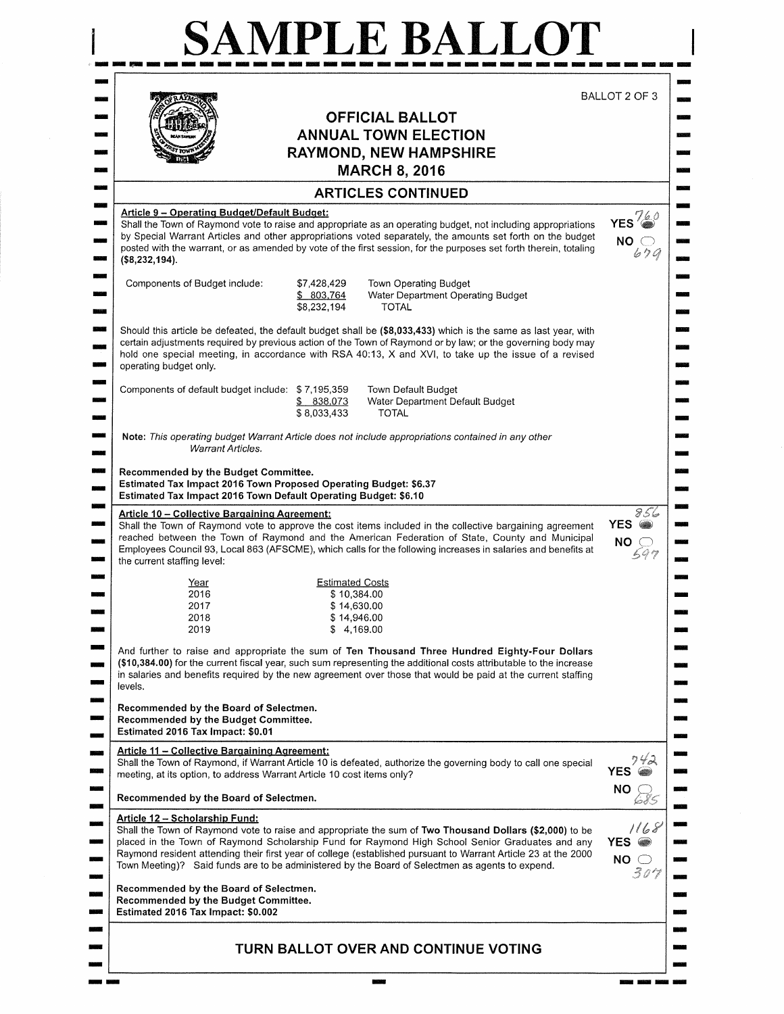|                                                                                                                                                                                                                                     |                                         | <b>OFFICIAL BALLOT</b>                                                                                                                                                                                                                                                                                                                          | BALLOT 2 OF 3                                |
|-------------------------------------------------------------------------------------------------------------------------------------------------------------------------------------------------------------------------------------|-----------------------------------------|-------------------------------------------------------------------------------------------------------------------------------------------------------------------------------------------------------------------------------------------------------------------------------------------------------------------------------------------------|----------------------------------------------|
|                                                                                                                                                                                                                                     |                                         | <b>ANNUAL TOWN ELECTION</b>                                                                                                                                                                                                                                                                                                                     |                                              |
|                                                                                                                                                                                                                                     |                                         | <b>RAYMOND, NEW HAMPSHIRE</b>                                                                                                                                                                                                                                                                                                                   |                                              |
|                                                                                                                                                                                                                                     |                                         | <b>MARCH 8, 2016</b>                                                                                                                                                                                                                                                                                                                            |                                              |
|                                                                                                                                                                                                                                     |                                         | <b>ARTICLES CONTINUED</b>                                                                                                                                                                                                                                                                                                                       |                                              |
| Article 9 - Operating Budget/Default Budget:<br>(\$8,232,194).                                                                                                                                                                      |                                         | Shall the Town of Raymond vote to raise and appropriate as an operating budget, not including appropriations<br>by Special Warrant Articles and other appropriations voted separately, the amounts set forth on the budget<br>posted with the warrant, or as amended by vote of the first session, for the purposes set forth therein, totaling | $YES\frac{760}{2}$<br>NO <sub>o</sub><br>679 |
| Components of Budget include:                                                                                                                                                                                                       | \$7,428,429<br>\$803,764<br>\$8,232,194 | Town Operating Budget<br>Water Department Operating Budget<br><b>TOTAL</b>                                                                                                                                                                                                                                                                      |                                              |
| operating budget only.                                                                                                                                                                                                              |                                         | Should this article be defeated, the default budget shall be (\$8,033,433) which is the same as last year, with<br>certain adjustments required by previous action of the Town of Raymond or by law; or the governing body may<br>hold one special meeting, in accordance with RSA 40:13, X and XVI, to take up the issue of a revised          |                                              |
| Components of default budget include: \$7,195,359                                                                                                                                                                                   | \$838,073<br>\$8,033,433                | Town Default Budget<br>Water Department Default Budget<br>TOTAL                                                                                                                                                                                                                                                                                 |                                              |
| <b>Warrant Articles.</b>                                                                                                                                                                                                            |                                         | Note: This operating budget Warrant Article does not include appropriations contained in any other                                                                                                                                                                                                                                              |                                              |
| Recommended by the Budget Committee.<br>Estimated Tax Impact 2016 Town Proposed Operating Budget: \$6.37<br>Estimated Tax Impact 2016 Town Default Operating Budget: \$6.10<br><b>Article 10 - Collective Bargaining Agreement:</b> |                                         | Shall the Town of Raymond vote to approve the cost items included in the collective bargaining agreement<br>reached between the Town of Raymond and the American Federation of State, County and Municipal<br>Employees Council 93, Local 863 (AFSCME), which calls for the following increases in salaries and benefits at                     | 856<br>YES @<br>NO 0                         |
| the current staffing level:                                                                                                                                                                                                         |                                         |                                                                                                                                                                                                                                                                                                                                                 | 597                                          |
| <u>Year</u><br>2016                                                                                                                                                                                                                 | <b>Estimated Costs</b><br>\$10,384.00   |                                                                                                                                                                                                                                                                                                                                                 |                                              |
| 2017                                                                                                                                                                                                                                | \$14,630.00                             |                                                                                                                                                                                                                                                                                                                                                 |                                              |
| 2018<br>2019                                                                                                                                                                                                                        | \$14,946.00<br>\$4,169.00               |                                                                                                                                                                                                                                                                                                                                                 |                                              |
| levels.                                                                                                                                                                                                                             |                                         | And further to raise and appropriate the sum of Ten Thousand Three Hundred Eighty-Four Dollars<br>(\$10,384.00) for the current fiscal year, such sum representing the additional costs attributable to the increase<br>in salaries and benefits required by the new agreement over those that would be paid at the current staffing            |                                              |
| Recommended by the Board of Selectmen.<br>Recommended by the Budget Committee.<br>Estimated 2016 Tax Impact: \$0.01                                                                                                                 |                                         |                                                                                                                                                                                                                                                                                                                                                 |                                              |
| <b>Article 11 - Collective Bargaining Agreement:</b><br>meeting, at its option, to address Warrant Article 10 cost items only?                                                                                                      |                                         | Shall the Town of Raymond, if Warrant Article 10 is defeated, authorize the governing body to call one special                                                                                                                                                                                                                                  | <b>YES</b>                                   |
| Recommended by the Board of Selectmen.                                                                                                                                                                                              |                                         |                                                                                                                                                                                                                                                                                                                                                 | NO.                                          |
| <u> Article 12 – Scholarship Fund:</u>                                                                                                                                                                                              |                                         | Shall the Town of Raymond vote to raise and appropriate the sum of Two Thousand Dollars (\$2,000) to be<br>placed in the Town of Raymond Scholarship Fund for Raymond High School Senior Graduates and any<br>Raymond resident attending their first year of college (established pursuant to Warrant Article 23 at the 2000                    | 1168<br>YES <sup>2</sup><br>$NO \bigcirc$    |
| Town Meeting)? Said funds are to be administered by the Board of Selectmen as agents to expend.                                                                                                                                     |                                         |                                                                                                                                                                                                                                                                                                                                                 | 307                                          |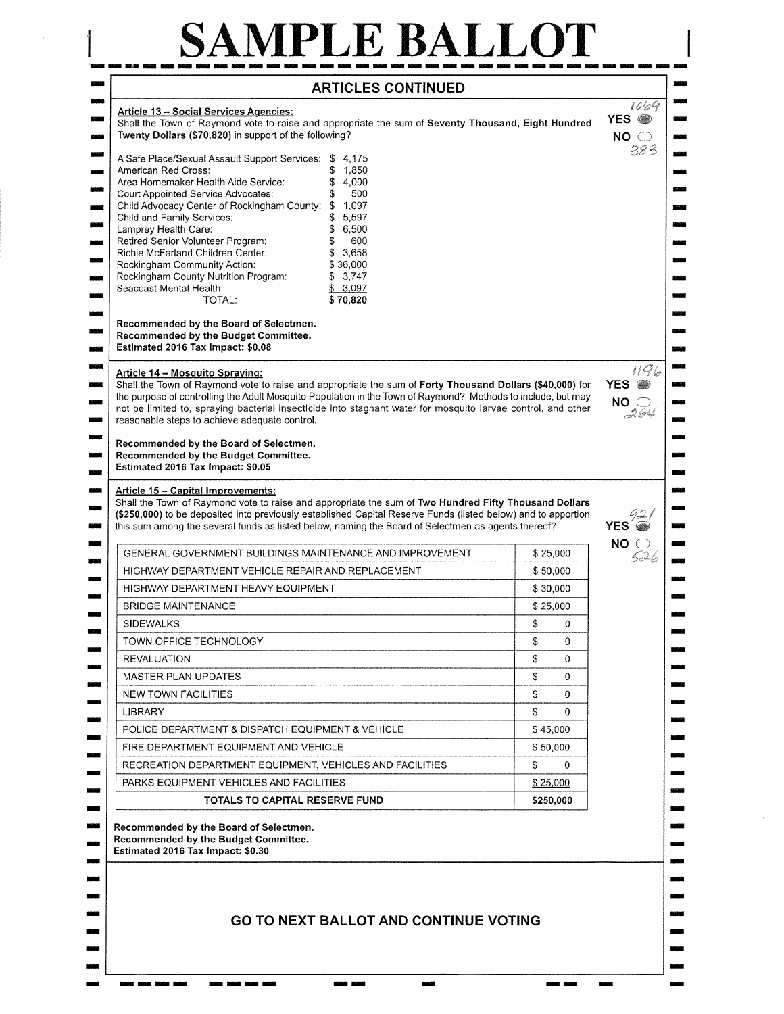## SAMPLE BALLOT

 $\mathbf{1}$ 

| <b>Article 13 - Social Services Agencies:</b><br>Shall the Town of Raymond vote to raise and appropriate the sum of Seventy Thousand, Eight Hundred<br>Twenty Dollars (\$70,820) in support of the following?                                                                                                                                                                                                                                                                                                                                                                                                          |                      | 1064<br>YES <sup>3</sup><br>$NO \bigcirc$        |
|------------------------------------------------------------------------------------------------------------------------------------------------------------------------------------------------------------------------------------------------------------------------------------------------------------------------------------------------------------------------------------------------------------------------------------------------------------------------------------------------------------------------------------------------------------------------------------------------------------------------|----------------------|--------------------------------------------------|
| A Safe Place/Sexual Assault Support Services: \$<br>-4.175<br>American Red Cross:<br>\$<br>1,850<br>Area Homemaker Health Aide Service:<br>\$<br>4,000<br>Court Appointed Service Advocates:<br>\$<br>500<br>Child Advocacy Center of Rockingham County:<br>\$<br>1,097<br>Child and Family Services:<br>5,597<br>Lamprey Health Care:<br>\$<br>6,500<br>Retired Senior Volunteer Program:<br>\$<br>600<br>Richie McFarland Children Center:<br>3,658<br>\$<br>Rockingham Community Action:<br>\$36,000<br>Rockingham County Nutrition Program:<br>\$3,747<br>Seacoast Mental Health:<br>\$3,097<br>\$70,820<br>TOTAL: |                      | 383                                              |
| Recommended by the Board of Selectmen.<br>Recommended by the Budget Committee.<br>Estimated 2016 Tax Impact: \$0.08                                                                                                                                                                                                                                                                                                                                                                                                                                                                                                    |                      |                                                  |
| Article 14 - Mosquito Spraying:<br>Shall the Town of Raymond vote to raise and appropriate the sum of Forty Thousand Dollars (\$40,000) for<br>the purpose of controlling the Adult Mosquito Population in the Town of Raymond? Methods to include, but may<br>not be limited to, spraying bacterial insecticide into stagnant water for mosquito larvae control, and other<br>reasonable steps to achieve adequate control.                                                                                                                                                                                           |                      | 1196<br>YES <sup>3</sup><br>NO $\subset$<br>-264 |
| Recommended by the Budget Committee.<br>Estimated 2016 Tax Impact: \$0.05<br>Article 15 - Capital Improvements:<br>Shall the Town of Raymond vote to raise and appropriate the sum of Two Hundred Fifty Thousand Dollars<br>(\$250,000) to be deposited into previously established Capital Reserve Funds (listed below) and to apportion<br>this sum among the several funds as listed below, naming the Board of Selectmen as agents thereof?                                                                                                                                                                        |                      | YES                                              |
| GENERAL GOVERNMENT BUILDINGS MAINTENANCE AND IMPROVEMENT                                                                                                                                                                                                                                                                                                                                                                                                                                                                                                                                                               | \$25,000             | NO $\subset$<br>5,526                            |
| HIGHWAY DEPARTMENT VEHICLE REPAIR AND REPLACEMENT                                                                                                                                                                                                                                                                                                                                                                                                                                                                                                                                                                      | \$50,000             |                                                  |
|                                                                                                                                                                                                                                                                                                                                                                                                                                                                                                                                                                                                                        |                      |                                                  |
|                                                                                                                                                                                                                                                                                                                                                                                                                                                                                                                                                                                                                        |                      |                                                  |
| <b>HIGHWAY DEPARTMENT HEAVY EQUIPMENT</b><br><b>BRIDGE MAINTENANCE</b>                                                                                                                                                                                                                                                                                                                                                                                                                                                                                                                                                 | \$30,000<br>\$25,000 |                                                  |
|                                                                                                                                                                                                                                                                                                                                                                                                                                                                                                                                                                                                                        | \$<br>0              |                                                  |
| <b>SIDEWALKS</b><br>TOWN OFFICE TECHNOLOGY                                                                                                                                                                                                                                                                                                                                                                                                                                                                                                                                                                             | \$<br>0              |                                                  |
| <b>REVALUATION</b>                                                                                                                                                                                                                                                                                                                                                                                                                                                                                                                                                                                                     | \$<br>$\Omega$       |                                                  |
| <b>MASTER PLAN UPDATES</b>                                                                                                                                                                                                                                                                                                                                                                                                                                                                                                                                                                                             | \$<br>$\Omega$       |                                                  |
| <b>NEW TOWN FACILITIES</b>                                                                                                                                                                                                                                                                                                                                                                                                                                                                                                                                                                                             | \$<br>0              |                                                  |
| <b>LIBRARY</b>                                                                                                                                                                                                                                                                                                                                                                                                                                                                                                                                                                                                         | \$<br>$\Omega$       |                                                  |
| POLICE DEPARTMENT & DISPATCH EQUIPMENT & VEHICLE                                                                                                                                                                                                                                                                                                                                                                                                                                                                                                                                                                       | \$45,000             |                                                  |
| FIRE DEPARTMENT EQUIPMENT AND VEHICLE                                                                                                                                                                                                                                                                                                                                                                                                                                                                                                                                                                                  | \$50,000             |                                                  |
| RECREATION DEPARTMENT EQUIPMENT, VEHICLES AND FACILITIES                                                                                                                                                                                                                                                                                                                                                                                                                                                                                                                                                               | \$<br>0              |                                                  |
| PARKS EQUIPMENT VEHICLES AND FACILITIES                                                                                                                                                                                                                                                                                                                                                                                                                                                                                                                                                                                | \$25,000             |                                                  |
| TOTALS TO CAPITAL RESERVE FUND                                                                                                                                                                                                                                                                                                                                                                                                                                                                                                                                                                                         | \$250,000            |                                                  |
| Recommended by the Board of Selectmen.<br>Recommended by the Budget Committee.<br>Estimated 2016 Tax Impact: \$0.30                                                                                                                                                                                                                                                                                                                                                                                                                                                                                                    |                      |                                                  |

 $\overline{\phantom{a}}$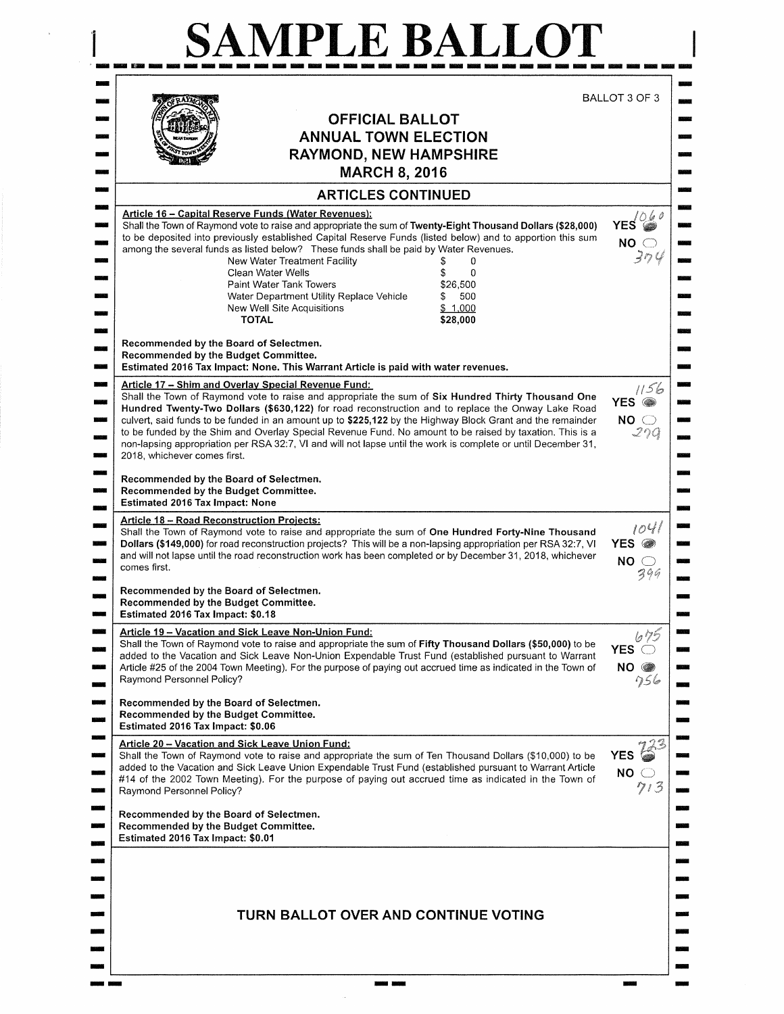| <b>ARTICLES CONTINUED</b><br><b>Article 16 – Capital Reserve Funds (Water Revenues):</b><br>Shall the Town of Raymond vote to raise and appropriate the sum of Twenty-Eight Thousand Dollars (\$28,000)<br>to be deposited into previously established Capital Reserve Funds (listed below) and to apportion this sum<br>among the several funds as listed below? These funds shall be paid by Water Revenues.<br>New Water Treatment Facility<br>Clean Water Wells<br>\$<br>$\Omega$<br>\$26,500<br>Paint Water Tank Towers<br>500<br>Water Department Utility Replace Vehicle<br>\$<br>\$1,000<br>New Well Site Acquisitions<br>\$28,000<br><b>TOTAL</b><br>Recommended by the Board of Selectmen.<br>Recommended by the Budget Committee.<br>Estimated 2016 Tax Impact: None. This Warrant Article is paid with water revenues.<br>Article 17 - Shim and Overlay Special Revenue Fund:<br>Shall the Town of Raymond vote to raise and appropriate the sum of Six Hundred Thirty Thousand One<br>Hundred Twenty-Two Dollars (\$630,122) for road reconstruction and to replace the Onway Lake Road<br>culvert, said funds to be funded in an amount up to \$225,122 by the Highway Block Grant and the remainder<br>to be funded by the Shim and Overlay Special Revenue Fund. No amount to be raised by taxation. This is a<br>non-lapsing appropriation per RSA 32:7, VI and will not lapse until the work is complete or until December 31,<br>2018, whichever comes first.<br>Recommended by the Board of Selectmen.<br>Recommended by the Budget Committee.<br>Estimated 2016 Tax Impact: None<br><b>Article 18 - Road Reconstruction Projects:</b><br>Shall the Town of Raymond vote to raise and appropriate the sum of One Hundred Forty-Nine Thousand<br>Dollars (\$149,000) for road reconstruction projects? This will be a non-lapsing appropriation per RSA 32:7, VI<br>and will not lapse until the road reconstruction work has been completed or by December 31, 2018, whichever<br>comes first.<br>Recommended by the Board of Selectmen.<br>Recommended by the Budget Committee.<br>Estimated 2016 Tax Impact: \$0.18<br>Article 19 - Vacation and Sick Leave Non-Union Fund:<br>Shall the Town of Raymond vote to raise and appropriate the sum of Fifty Thousand Dollars (\$50,000) to be<br>added to the Vacation and Sick Leave Non-Union Expendable Trust Fund (established pursuant to Warrant<br>Article #25 of the 2004 Town Meeting). For the purpose of paying out accrued time as indicated in the Town of<br>Raymond Personnel Policy?<br>Recommended by the Board of Selectmen.<br>Recommended by the Budget Committee.<br>Estimated 2016 Tax Impact: \$0.06<br>Article 20 - Vacation and Sick Leave Union Fund:<br>Shall the Town of Raymond vote to raise and appropriate the sum of Ten Thousand Dollars (\$10,000) to be<br>added to the Vacation and Sick Leave Union Expendable Trust Fund (established pursuant to Warrant Article<br>#14 of the 2002 Town Meeting). For the purpose of paying out accrued time as indicated in the Town of<br>Raymond Personnel Policy?<br>Recommended by the Board of Selectmen.<br>Recommended by the Budget Committee.<br>Estimated 2016 Tax Impact: \$0.01<br>TURN BALLOT OVER AND CONTINUE VOTING | <b>OFFICIAL BALLOT</b><br><b>ANNUAL TOWN ELECTION</b><br><b>RAYMOND, NEW HAMPSHIRE</b><br><b>MARCH 8, 2016</b> | BALLOT 3 OF 3                                                             |
|---------------------------------------------------------------------------------------------------------------------------------------------------------------------------------------------------------------------------------------------------------------------------------------------------------------------------------------------------------------------------------------------------------------------------------------------------------------------------------------------------------------------------------------------------------------------------------------------------------------------------------------------------------------------------------------------------------------------------------------------------------------------------------------------------------------------------------------------------------------------------------------------------------------------------------------------------------------------------------------------------------------------------------------------------------------------------------------------------------------------------------------------------------------------------------------------------------------------------------------------------------------------------------------------------------------------------------------------------------------------------------------------------------------------------------------------------------------------------------------------------------------------------------------------------------------------------------------------------------------------------------------------------------------------------------------------------------------------------------------------------------------------------------------------------------------------------------------------------------------------------------------------------------------------------------------------------------------------------------------------------------------------------------------------------------------------------------------------------------------------------------------------------------------------------------------------------------------------------------------------------------------------------------------------------------------------------------------------------------------------------------------------------------------------------------------------------------------------------------------------------------------------------------------------------------------------------------------------------------------------------------------------------------------------------------------------------------------------------------------------------------------------------------------------------------------------------------------------------------------------------------------------------------------------------------------------------------------------------------------------------------------------------------------------------------------------------------------------------------------------------------------------------------------------------------------------------------------------------------------------------------------------------------|----------------------------------------------------------------------------------------------------------------|---------------------------------------------------------------------------|
| ويدون<br>أنتنق<br><b>STATE</b>                                                                                                                                                                                                                                                                                                                                                                                                                                                                                                                                                                                                                                                                                                                                                                                                                                                                                                                                                                                                                                                                                                                                                                                                                                                                                                                                                                                                                                                                                                                                                                                                                                                                                                                                                                                                                                                                                                                                                                                                                                                                                                                                                                                                                                                                                                                                                                                                                                                                                                                                                                                                                                                                                                                                                                                                                                                                                                                                                                                                                                                                                                                                                                                                                                                  |                                                                                                                | $YES\overset{\wedge}{\Longrightarrow}^{\theta}$<br>NO <sub>o</sub><br>304 |
|                                                                                                                                                                                                                                                                                                                                                                                                                                                                                                                                                                                                                                                                                                                                                                                                                                                                                                                                                                                                                                                                                                                                                                                                                                                                                                                                                                                                                                                                                                                                                                                                                                                                                                                                                                                                                                                                                                                                                                                                                                                                                                                                                                                                                                                                                                                                                                                                                                                                                                                                                                                                                                                                                                                                                                                                                                                                                                                                                                                                                                                                                                                                                                                                                                                                                 |                                                                                                                | 1156<br>YES <sup>®</sup><br>NO <sub>o</sub><br>270                        |
|                                                                                                                                                                                                                                                                                                                                                                                                                                                                                                                                                                                                                                                                                                                                                                                                                                                                                                                                                                                                                                                                                                                                                                                                                                                                                                                                                                                                                                                                                                                                                                                                                                                                                                                                                                                                                                                                                                                                                                                                                                                                                                                                                                                                                                                                                                                                                                                                                                                                                                                                                                                                                                                                                                                                                                                                                                                                                                                                                                                                                                                                                                                                                                                                                                                                                 |                                                                                                                | 1041<br>YES @<br>NO <sub>o</sub><br>399                                   |
|                                                                                                                                                                                                                                                                                                                                                                                                                                                                                                                                                                                                                                                                                                                                                                                                                                                                                                                                                                                                                                                                                                                                                                                                                                                                                                                                                                                                                                                                                                                                                                                                                                                                                                                                                                                                                                                                                                                                                                                                                                                                                                                                                                                                                                                                                                                                                                                                                                                                                                                                                                                                                                                                                                                                                                                                                                                                                                                                                                                                                                                                                                                                                                                                                                                                                 |                                                                                                                | 675<br>YES $\bigcirc$<br>NO O<br>756                                      |
|                                                                                                                                                                                                                                                                                                                                                                                                                                                                                                                                                                                                                                                                                                                                                                                                                                                                                                                                                                                                                                                                                                                                                                                                                                                                                                                                                                                                                                                                                                                                                                                                                                                                                                                                                                                                                                                                                                                                                                                                                                                                                                                                                                                                                                                                                                                                                                                                                                                                                                                                                                                                                                                                                                                                                                                                                                                                                                                                                                                                                                                                                                                                                                                                                                                                                 |                                                                                                                | <b>YES</b><br>NO <sub>o</sub><br>$\gamma_1$ 3                             |
|                                                                                                                                                                                                                                                                                                                                                                                                                                                                                                                                                                                                                                                                                                                                                                                                                                                                                                                                                                                                                                                                                                                                                                                                                                                                                                                                                                                                                                                                                                                                                                                                                                                                                                                                                                                                                                                                                                                                                                                                                                                                                                                                                                                                                                                                                                                                                                                                                                                                                                                                                                                                                                                                                                                                                                                                                                                                                                                                                                                                                                                                                                                                                                                                                                                                                 |                                                                                                                |                                                                           |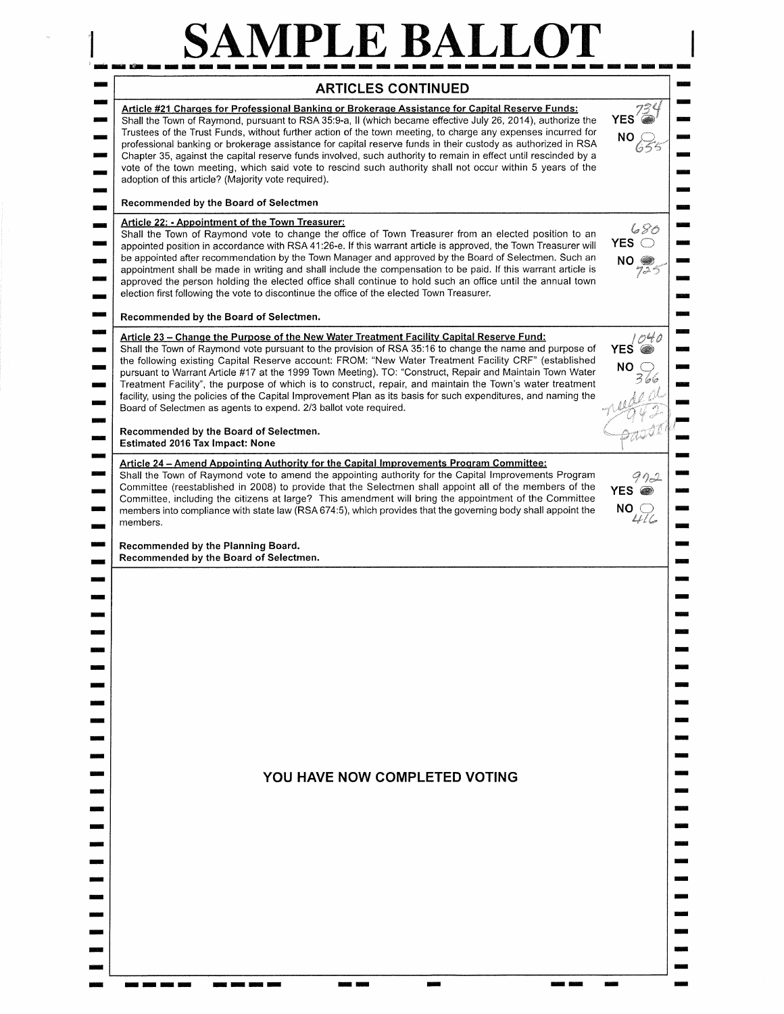## SAMPLE BALLOT

| <b>ARTICLES CONTINUED</b><br>Article #21 Charges for Professional Banking or Brokerage Assistance for Capital Reserve Funds:                                                                                                                                                                                                                                                                                                                                                                                                                                                                                                                                                                                                     |                                     |
|----------------------------------------------------------------------------------------------------------------------------------------------------------------------------------------------------------------------------------------------------------------------------------------------------------------------------------------------------------------------------------------------------------------------------------------------------------------------------------------------------------------------------------------------------------------------------------------------------------------------------------------------------------------------------------------------------------------------------------|-------------------------------------|
| Shall the Town of Raymond, pursuant to RSA 35:9-a, II (which became effective July 26, 2014), authorize the<br>Trustees of the Trust Funds, without further action of the town meeting, to charge any expenses incurred for<br>professional banking or brokerage assistance for capital reserve funds in their custody as authorized in RSA<br>Chapter 35, against the capital reserve funds involved, such authority to remain in effect until rescinded by a<br>vote of the town meeting, which said vote to rescind such authority shall not occur within 5 years of the<br>adoption of this article? (Majority vote required).                                                                                               | <b>YES</b><br>NO.                   |
| Recommended by the Board of Selectmen                                                                                                                                                                                                                                                                                                                                                                                                                                                                                                                                                                                                                                                                                            |                                     |
| Article 22: - Appointment of the Town Treasurer:<br>Shall the Town of Raymond vote to change the office of Town Treasurer from an elected position to an<br>appointed position in accordance with RSA 41:26-e. If this warrant article is approved, the Town Treasurer will<br>be appointed after recommendation by the Town Manager and approved by the Board of Selectmen. Such an<br>appointment shall be made in writing and shall include the compensation to be paid. If this warrant article is<br>approved the person holding the elected office shall continue to hold such an office until the annual town<br>election first following the vote to discontinue the office of the elected Town Treasurer.               | 680<br>YES $\bigcirc$<br>$NO_{725}$ |
| Recommended by the Board of Selectmen.                                                                                                                                                                                                                                                                                                                                                                                                                                                                                                                                                                                                                                                                                           |                                     |
| Article 23 - Change the Purpose of the New Water Treatment Facility Capital Reserve Fund:<br>Shall the Town of Raymond vote pursuant to the provision of RSA 35:16 to change the name and purpose of<br>the following existing Capital Reserve account: FROM: "New Water Treatment Facility CRF" (established<br>pursuant to Warrant Article #17 at the 1999 Town Meeting). TO: "Construct, Repair and Maintain Town Water<br>Treatment Facility", the purpose of which is to construct, repair, and maintain the Town's water treatment<br>facility, using the policies of the Capital Improvement Plan as its basis for such expenditures, and naming the<br>Board of Selectmen as agents to expend. 2/3 ballot vote required. | 1040<br><b>YES</b><br>NO.           |
| Recommended by the Board of Selectmen.<br><b>Estimated 2016 Tax Impact: None</b>                                                                                                                                                                                                                                                                                                                                                                                                                                                                                                                                                                                                                                                 |                                     |
| Shall the Town of Raymond vote to amend the appointing authority for the Capital Improvements Program<br>Committee (reestablished in 2008) to provide that the Selectmen shall appoint all of the members of the<br>Committee, including the citizens at large? This amendment will bring the appointment of the Committee<br>members into compliance with state law (RSA 674:5), which provides that the governing body shall appoint the<br>members.<br>Recommended by the Planning Board.                                                                                                                                                                                                                                     | YES @<br>NO (<br>446                |
|                                                                                                                                                                                                                                                                                                                                                                                                                                                                                                                                                                                                                                                                                                                                  |                                     |
|                                                                                                                                                                                                                                                                                                                                                                                                                                                                                                                                                                                                                                                                                                                                  |                                     |
| YOU HAVE NOW COMPLETED VOTING                                                                                                                                                                                                                                                                                                                                                                                                                                                                                                                                                                                                                                                                                                    |                                     |
|                                                                                                                                                                                                                                                                                                                                                                                                                                                                                                                                                                                                                                                                                                                                  |                                     |
|                                                                                                                                                                                                                                                                                                                                                                                                                                                                                                                                                                                                                                                                                                                                  |                                     |
|                                                                                                                                                                                                                                                                                                                                                                                                                                                                                                                                                                                                                                                                                                                                  |                                     |
|                                                                                                                                                                                                                                                                                                                                                                                                                                                                                                                                                                                                                                                                                                                                  |                                     |
|                                                                                                                                                                                                                                                                                                                                                                                                                                                                                                                                                                                                                                                                                                                                  |                                     |
|                                                                                                                                                                                                                                                                                                                                                                                                                                                                                                                                                                                                                                                                                                                                  |                                     |
|                                                                                                                                                                                                                                                                                                                                                                                                                                                                                                                                                                                                                                                                                                                                  |                                     |
|                                                                                                                                                                                                                                                                                                                                                                                                                                                                                                                                                                                                                                                                                                                                  |                                     |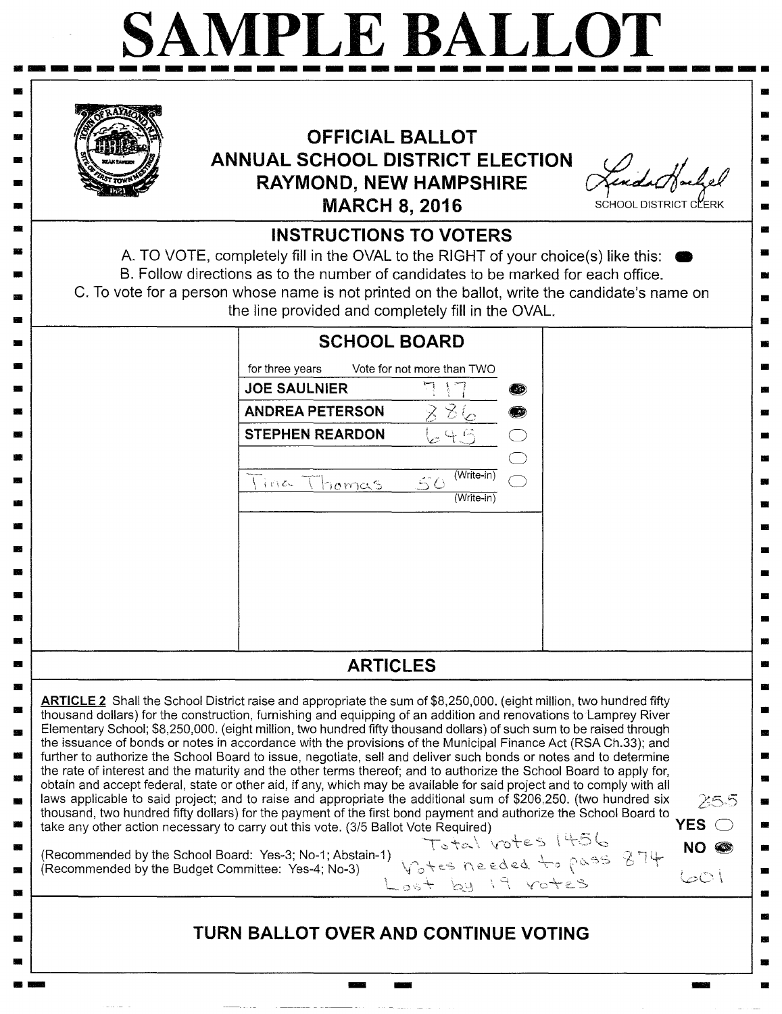| <b>OFFICIAL BALLOT</b><br>ANNUAL SCHOOL DISTRICT ELECTION<br><b>RAYMOND, NEW HAMPSHIRE</b><br><b>MARCH 8, 2016</b>                                                                                                                                                                                                                                                                                                                                                                                                                                                                                                                                                                                                                                                                                                                                                                                                                                                                                                                                                                                                                                                                                                                                                                                                                                                          | SCHOOL DISTRICT C                  |
|-----------------------------------------------------------------------------------------------------------------------------------------------------------------------------------------------------------------------------------------------------------------------------------------------------------------------------------------------------------------------------------------------------------------------------------------------------------------------------------------------------------------------------------------------------------------------------------------------------------------------------------------------------------------------------------------------------------------------------------------------------------------------------------------------------------------------------------------------------------------------------------------------------------------------------------------------------------------------------------------------------------------------------------------------------------------------------------------------------------------------------------------------------------------------------------------------------------------------------------------------------------------------------------------------------------------------------------------------------------------------------|------------------------------------|
| <b>INSTRUCTIONS TO VOTERS</b><br>A. TO VOTE, completely fill in the OVAL to the RIGHT of your choice(s) like this:<br>B. Follow directions as to the number of candidates to be marked for each office.<br>C. To vote for a person whose name is not printed on the ballot, write the candidate's name on<br>the line provided and completely fill in the OVAL.                                                                                                                                                                                                                                                                                                                                                                                                                                                                                                                                                                                                                                                                                                                                                                                                                                                                                                                                                                                                             |                                    |
| <b>SCHOOL BOARD</b><br>for three years<br>Vote for not more than TWO<br><b>JOE SAULNIER</b><br>(20)<br><b>ANDREA PETERSON</b><br>ヌさん<br>Œ<br><b>STEPHEN REARDON</b><br>눈뜻의<br>$(Write-in)$<br>50<br>lina Thomas<br>$(Write-in)$                                                                                                                                                                                                                                                                                                                                                                                                                                                                                                                                                                                                                                                                                                                                                                                                                                                                                                                                                                                                                                                                                                                                             |                                    |
| <b>ARTICLES</b>                                                                                                                                                                                                                                                                                                                                                                                                                                                                                                                                                                                                                                                                                                                                                                                                                                                                                                                                                                                                                                                                                                                                                                                                                                                                                                                                                             |                                    |
| ARTICLE 2 Shall the School District raise and appropriate the sum of \$8,250,000. (eight million, two hundred fifty<br>thousand dollars) for the construction, furnishing and equipping of an addition and renovations to Lamprey River<br>Elementary School; \$8,250,000. (eight million, two hundred fifty thousand dollars) of such sum to be raised through<br>the issuance of bonds or notes in accordance with the provisions of the Municipal Finance Act (RSA Ch.33); and<br>further to authorize the School Board to issue, negotiate, sell and deliver such bonds or notes and to determine<br>the rate of interest and the maturity and the other terms thereof; and to authorize the School Board to apply for,<br>obtain and accept federal, state or other aid, if any, which may be available for said project and to comply with all<br>laws applicable to said project; and to raise and appropriate the additional sum of \$206,250. (two hundred six<br>thousand, two hundred fifty dollars) for the payment of the first bond payment and authorize the School Board to<br>take any other action necessary to carry out this vote. (3/5 Ballot Vote Required)<br>Total votes 1456<br>(Recommended by the School Board: Yes-3; No-1; Abstain-1)<br>1) Votes needed to pass 874<br>Lost by 19 votes<br>(Recommended by the Budget Committee: Yes-4; No-3) | 255<br>YES O<br><b>NO</b><br>أتاصا |